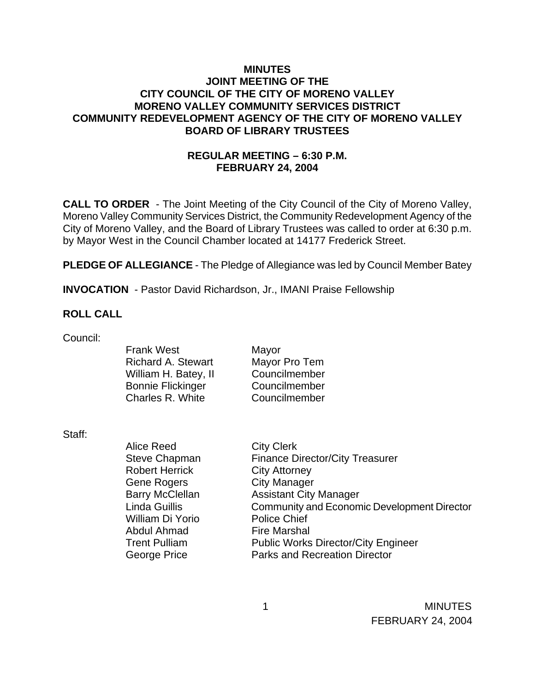### **MINUTES JOINT MEETING OF THE CITY COUNCIL OF THE CITY OF MORENO VALLEY MORENO VALLEY COMMUNITY SERVICES DISTRICT COMMUNITY REDEVELOPMENT AGENCY OF THE CITY OF MORENO VALLEY BOARD OF LIBRARY TRUSTEES**

# **REGULAR MEETING – 6:30 P.M. FEBRUARY 24, 2004**

**CALL TO ORDER** - The Joint Meeting of the City Council of the City of Moreno Valley, Moreno Valley Community Services District, the Community Redevelopment Agency of the City of Moreno Valley, and the Board of Library Trustees was called to order at 6:30 p.m. by Mayor West in the Council Chamber located at 14177 Frederick Street.

**PLEDGE OF ALLEGIANCE** - The Pledge of Allegiance was led by Council Member Batey

**INVOCATION** - Pastor David Richardson, Jr., IMANI Praise Fellowship

#### **ROLL CALL**

Council:

Frank West Mayor Richard A. Stewart Mayor Pro Tem William H. Batey, II Councilmember Bonnie Flickinger Councilmember Charles R. White Councilmember

Staff:

Alice Reed City Clerk Steve Chapman Finance Director/City Treasurer Robert Herrick City Attorney Gene Rogers City Manager Barry McClellan Assistant City Manager Linda Guillis Community and Economic Development Director William Di Yorio Police Chief Abdul Ahmad Fire Marshal Trent Pulliam Public Works Director/City Engineer George Price **Parks** and Recreation Director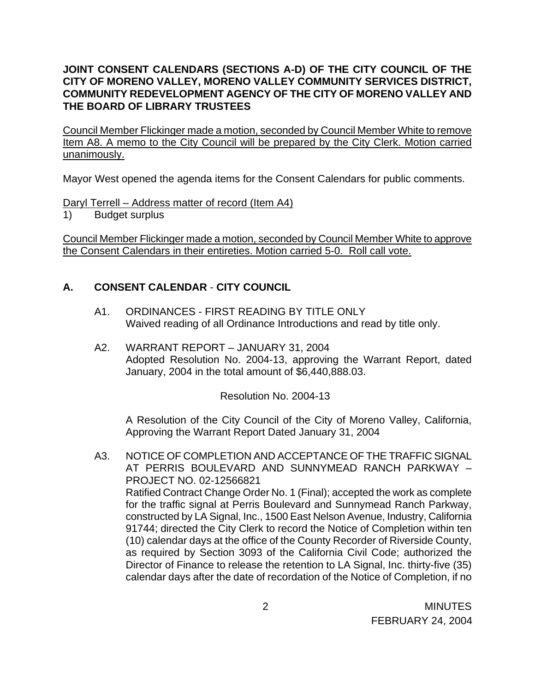# **JOINT CONSENT CALENDARS (SECTIONS A-D) OF THE CITY COUNCIL OF THE CITY OF MORENO VALLEY, MORENO VALLEY COMMUNITY SERVICES DISTRICT, COMMUNITY REDEVELOPMENT AGENCY OF THE CITY OF MORENO VALLEY AND THE BOARD OF LIBRARY TRUSTEES**

Council Member Flickinger made a motion, seconded by Council Member White to remove Item A8. A memo to the City Council will be prepared by the City Clerk. Motion carried unanimously.

Mayor West opened the agenda items for the Consent Calendars for public comments.

Daryl Terrell – Address matter of record (Item A4)

1) Budget surplus

Council Member Flickinger made a motion, seconded by Council Member White to approve the Consent Calendars in their entireties. Motion carried 5-0. Roll call vote.

# **A. CONSENT CALENDAR** - **CITY COUNCIL**

- A1. ORDINANCES FIRST READING BY TITLE ONLY Waived reading of all Ordinance Introductions and read by title only.
- A2. WARRANT REPORT JANUARY 31, 2004 Adopted Resolution No. 2004-13, approving the Warrant Report, dated January, 2004 in the total amount of \$6,440,888.03.

Resolution No. 2004-13

 A Resolution of the City Council of the City of Moreno Valley, California, Approving the Warrant Report Dated January 31, 2004

A3. NOTICE OF COMPLETION AND ACCEPTANCE OF THE TRAFFIC SIGNAL AT PERRIS BOULEVARD AND SUNNYMEAD RANCH PARKWAY – PROJECT NO. 02-12566821 Ratified Contract Change Order No. 1 (Final); accepted the work as complete for the traffic signal at Perris Boulevard and Sunnymead Ranch Parkway, constructed by LA Signal, Inc., 1500 East Nelson Avenue, Industry, California 91744; directed the City Clerk to record the Notice of Completion within ten (10) calendar days at the office of the County Recorder of Riverside County, as required by Section 3093 of the California Civil Code; authorized the Director of Finance to release the retention to LA Signal, Inc. thirty-five (35) calendar days after the date of recordation of the Notice of Completion, if no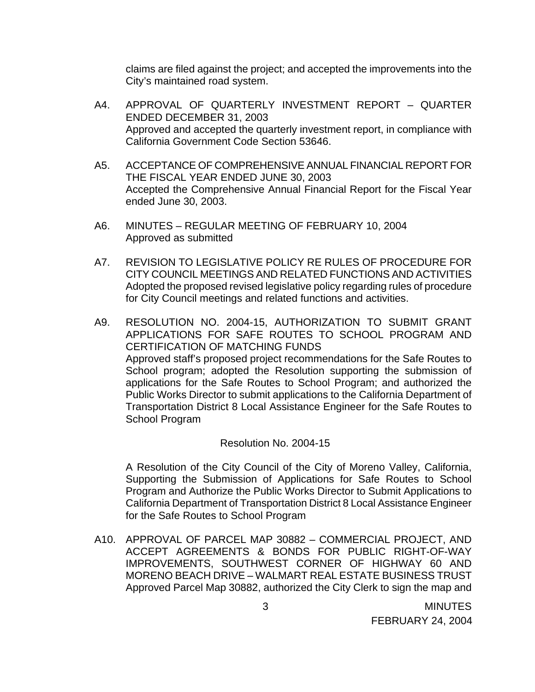claims are filed against the project; and accepted the improvements into the City's maintained road system.

- A4. APPROVAL OF QUARTERLY INVESTMENT REPORT QUARTER ENDED DECEMBER 31, 2003 Approved and accepted the quarterly investment report, in compliance with California Government Code Section 53646.
- A5. ACCEPTANCE OF COMPREHENSIVE ANNUAL FINANCIAL REPORT FOR THE FISCAL YEAR ENDED JUNE 30, 2003 Accepted the Comprehensive Annual Financial Report for the Fiscal Year ended June 30, 2003.
- A6. MINUTES REGULAR MEETING OF FEBRUARY 10, 2004 Approved as submitted
- A7. REVISION TO LEGISLATIVE POLICY RE RULES OF PROCEDURE FOR CITY COUNCIL MEETINGS AND RELATED FUNCTIONS AND ACTIVITIES Adopted the proposed revised legislative policy regarding rules of procedure for City Council meetings and related functions and activities.
- A9. RESOLUTION NO. 2004-15, AUTHORIZATION TO SUBMIT GRANT APPLICATIONS FOR SAFE ROUTES TO SCHOOL PROGRAM AND CERTIFICATION OF MATCHING FUNDS Approved staff's proposed project recommendations for the Safe Routes to School program; adopted the Resolution supporting the submission of applications for the Safe Routes to School Program; and authorized the Public Works Director to submit applications to the California Department of Transportation District 8 Local Assistance Engineer for the Safe Routes to School Program

Resolution No. 2004-15

 A Resolution of the City Council of the City of Moreno Valley, California, Supporting the Submission of Applications for Safe Routes to School Program and Authorize the Public Works Director to Submit Applications to California Department of Transportation District 8 Local Assistance Engineer for the Safe Routes to School Program

A10. APPROVAL OF PARCEL MAP 30882 – COMMERCIAL PROJECT, AND ACCEPT AGREEMENTS & BONDS FOR PUBLIC RIGHT-OF-WAY IMPROVEMENTS, SOUTHWEST CORNER OF HIGHWAY 60 AND MORENO BEACH DRIVE – WALMART REAL ESTATE BUSINESS TRUST Approved Parcel Map 30882, authorized the City Clerk to sign the map and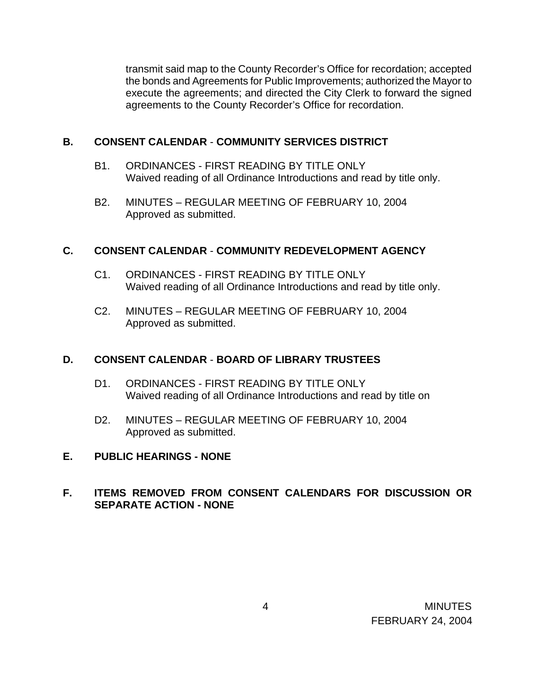transmit said map to the County Recorder's Office for recordation; accepted the bonds and Agreements for Public Improvements; authorized the Mayor to execute the agreements; and directed the City Clerk to forward the signed agreements to the County Recorder's Office for recordation.

## **B. CONSENT CALENDAR** - **COMMUNITY SERVICES DISTRICT**

- B1. ORDINANCES FIRST READING BY TITLE ONLY Waived reading of all Ordinance Introductions and read by title only.
- B2. MINUTES REGULAR MEETING OF FEBRUARY 10, 2004 Approved as submitted.

## **C. CONSENT CALENDAR** - **COMMUNITY REDEVELOPMENT AGENCY**

- C1. ORDINANCES FIRST READING BY TITLE ONLY Waived reading of all Ordinance Introductions and read by title only.
- C2. MINUTES REGULAR MEETING OF FEBRUARY 10, 2004 Approved as submitted.

# **D. CONSENT CALENDAR** - **BOARD OF LIBRARY TRUSTEES**

- D1. ORDINANCES FIRST READING BY TITLE ONLY Waived reading of all Ordinance Introductions and read by title on
- D2. MINUTES REGULAR MEETING OF FEBRUARY 10, 2004 Approved as submitted.

### **E. PUBLIC HEARINGS - NONE**

## **F. ITEMS REMOVED FROM CONSENT CALENDARS FOR DISCUSSION OR SEPARATE ACTION - NONE**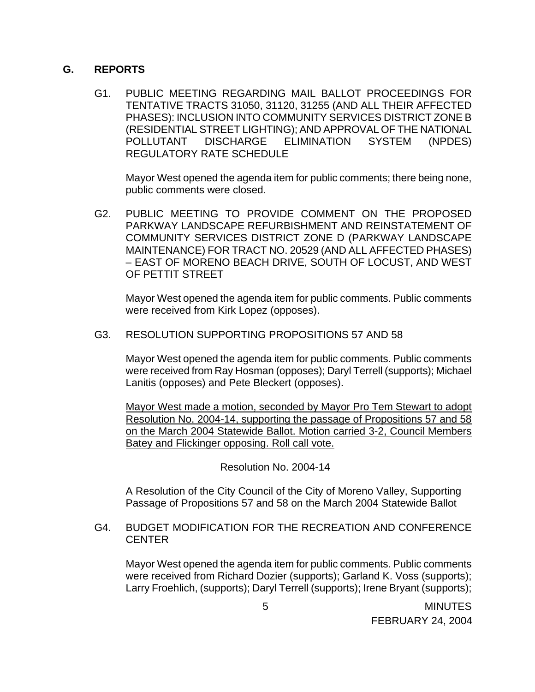### **G. REPORTS**

G1. PUBLIC MEETING REGARDING MAIL BALLOT PROCEEDINGS FOR TENTATIVE TRACTS 31050, 31120, 31255 (AND ALL THEIR AFFECTED PHASES): INCLUSION INTO COMMUNITY SERVICES DISTRICT ZONE B (RESIDENTIAL STREET LIGHTING); AND APPROVAL OF THE NATIONAL POLLUTANT DISCHARGE ELIMINATION SYSTEM (NPDES) REGULATORY RATE SCHEDULE

Mayor West opened the agenda item for public comments; there being none, public comments were closed.

G2. PUBLIC MEETING TO PROVIDE COMMENT ON THE PROPOSED PARKWAY LANDSCAPE REFURBISHMENT AND REINSTATEMENT OF COMMUNITY SERVICES DISTRICT ZONE D (PARKWAY LANDSCAPE MAINTENANCE) FOR TRACT NO. 20529 (AND ALL AFFECTED PHASES) – EAST OF MORENO BEACH DRIVE, SOUTH OF LOCUST, AND WEST OF PETTIT STREET

Mayor West opened the agenda item for public comments. Public comments were received from Kirk Lopez (opposes).

G3. RESOLUTION SUPPORTING PROPOSITIONS 57 AND 58

Mayor West opened the agenda item for public comments. Public comments were received from Ray Hosman (opposes); Daryl Terrell (supports); Michael Lanitis (opposes) and Pete Bleckert (opposes).

Mayor West made a motion, seconded by Mayor Pro Tem Stewart to adopt Resolution No. 2004-14, supporting the passage of Propositions 57 and 58 on the March 2004 Statewide Ballot. Motion carried 3-2, Council Members Batey and Flickinger opposing. Roll call vote.

Resolution No. 2004-14

A Resolution of the City Council of the City of Moreno Valley, Supporting Passage of Propositions 57 and 58 on the March 2004 Statewide Ballot

G4. BUDGET MODIFICATION FOR THE RECREATION AND CONFERENCE CENTER

Mayor West opened the agenda item for public comments. Public comments were received from Richard Dozier (supports); Garland K. Voss (supports); Larry Froehlich, (supports); Daryl Terrell (supports); Irene Bryant (supports);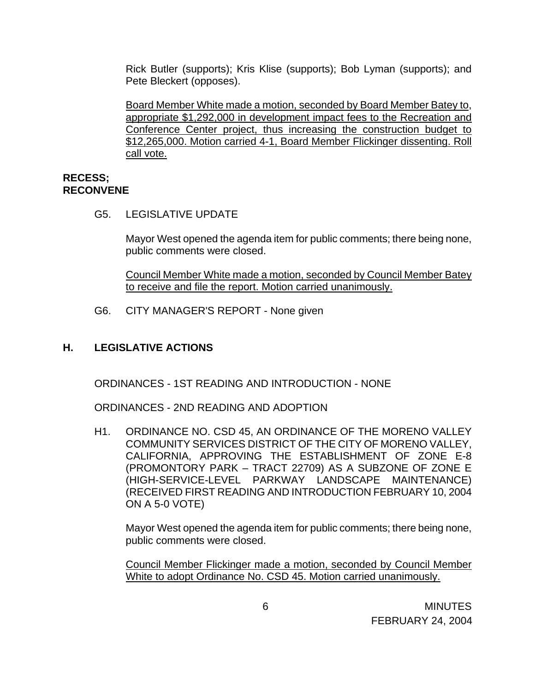Rick Butler (supports); Kris Klise (supports); Bob Lyman (supports); and Pete Bleckert (opposes).

Board Member White made a motion, seconded by Board Member Batey to, appropriate \$1,292,000 in development impact fees to the Recreation and Conference Center project, thus increasing the construction budget to \$12,265,000. Motion carried 4-1, Board Member Flickinger dissenting. Roll call vote.

#### **RECESS; RECONVENE**

G5. LEGISLATIVE UPDATE

Mayor West opened the agenda item for public comments; there being none, public comments were closed.

Council Member White made a motion, seconded by Council Member Batey to receive and file the report. Motion carried unanimously.

G6. CITY MANAGER'S REPORT - None given

### **H. LEGISLATIVE ACTIONS**

ORDINANCES - 1ST READING AND INTRODUCTION - NONE

ORDINANCES - 2ND READING AND ADOPTION

H1. ORDINANCE NO. CSD 45, AN ORDINANCE OF THE MORENO VALLEY COMMUNITY SERVICES DISTRICT OF THE CITY OF MORENO VALLEY, CALIFORNIA, APPROVING THE ESTABLISHMENT OF ZONE E-8 (PROMONTORY PARK – TRACT 22709) AS A SUBZONE OF ZONE E (HIGH-SERVICE-LEVEL PARKWAY LANDSCAPE MAINTENANCE) (RECEIVED FIRST READING AND INTRODUCTION FEBRUARY 10, 2004 ON A 5-0 VOTE)

Mayor West opened the agenda item for public comments; there being none, public comments were closed.

 Council Member Flickinger made a motion, seconded by Council Member White to adopt Ordinance No. CSD 45. Motion carried unanimously.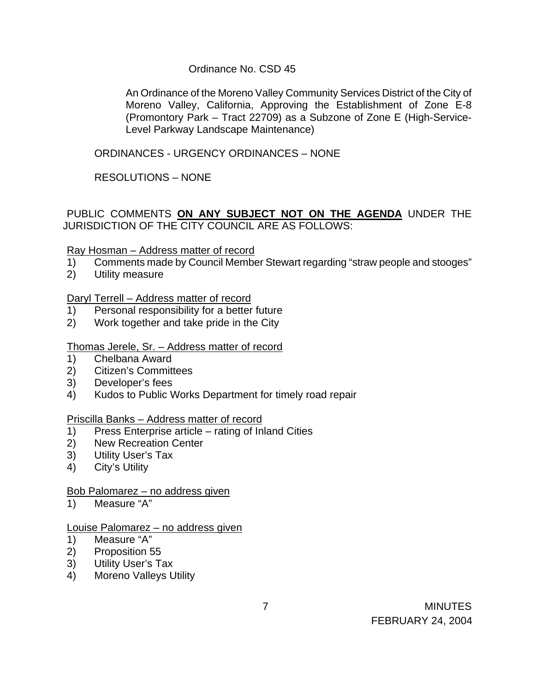### Ordinance No. CSD 45

An Ordinance of the Moreno Valley Community Services District of the City of Moreno Valley, California, Approving the Establishment of Zone E-8 (Promontory Park – Tract 22709) as a Subzone of Zone E (High-Service-Level Parkway Landscape Maintenance)

ORDINANCES - URGENCY ORDINANCES – NONE

RESOLUTIONS – NONE

PUBLIC COMMENTS **ON ANY SUBJECT NOT ON THE AGENDA** UNDER THE JURISDICTION OF THE CITY COUNCIL ARE AS FOLLOWS:

## Ray Hosman – Address matter of record

- 1) Comments made by Council Member Stewart regarding "straw people and stooges"
- 2) Utility measure

## Daryl Terrell – Address matter of record

- 1) Personal responsibility for a better future
- 2) Work together and take pride in the City

### Thomas Jerele, Sr. – Address matter of record

- 1) Chelbana Award
- 2) Citizen's Committees
- 3) Developer's fees
- 4) Kudos to Public Works Department for timely road repair

### Priscilla Banks – Address matter of record

- 1) Press Enterprise article rating of Inland Cities
- 2) New Recreation Center
- 3) Utility User's Tax
- 4) City's Utility

### Bob Palomarez – no address given

1) Measure "A"

### Louise Palomarez – no address given

- 1) Measure "A"
- 2) Proposition 55
- 3) Utility User's Tax
- 4) Moreno Valleys Utility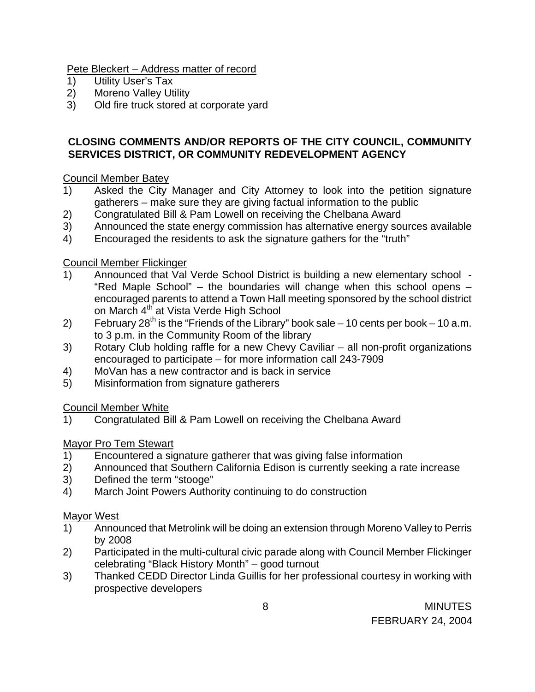Pete Bleckert – Address matter of record

- 1) Utility User's Tax
- 2) Moreno Valley Utility
- 3) Old fire truck stored at corporate yard

## **CLOSING COMMENTS AND/OR REPORTS OF THE CITY COUNCIL, COMMUNITY SERVICES DISTRICT, OR COMMUNITY REDEVELOPMENT AGENCY**

## Council Member Batey

- 1) Asked the City Manager and City Attorney to look into the petition signature gatherers – make sure they are giving factual information to the public
- 2) Congratulated Bill & Pam Lowell on receiving the Chelbana Award
- 3) Announced the state energy commission has alternative energy sources available
- 4) Encouraged the residents to ask the signature gathers for the "truth"

## Council Member Flickinger

- 1) Announced that Val Verde School District is building a new elementary school "Red Maple School" – the boundaries will change when this school opens – encouraged parents to attend a Town Hall meeting sponsored by the school district on March 4<sup>th</sup> at Vista Verde High School
- 2) February 28<sup>th</sup> is the "Friends of the Library" book sale 10 cents per book 10 a.m. to 3 p.m. in the Community Room of the library
- 3) Rotary Club holding raffle for a new Chevy Caviliar all non-profit organizations encouraged to participate – for more information call 243-7909
- 4) MoVan has a new contractor and is back in service
- 5) Misinformation from signature gatherers

# Council Member White

1) Congratulated Bill & Pam Lowell on receiving the Chelbana Award

# Mayor Pro Tem Stewart

- 1) Encountered a signature gatherer that was giving false information
- 2) Announced that Southern California Edison is currently seeking a rate increase
- 3) Defined the term "stooge"
- 4) March Joint Powers Authority continuing to do construction

# Mayor West

- 1) Announced that Metrolink will be doing an extension through Moreno Valley to Perris by 2008
- 2) Participated in the multi-cultural civic parade along with Council Member Flickinger celebrating "Black History Month" – good turnout
- 3) Thanked CEDD Director Linda Guillis for her professional courtesy in working with prospective developers